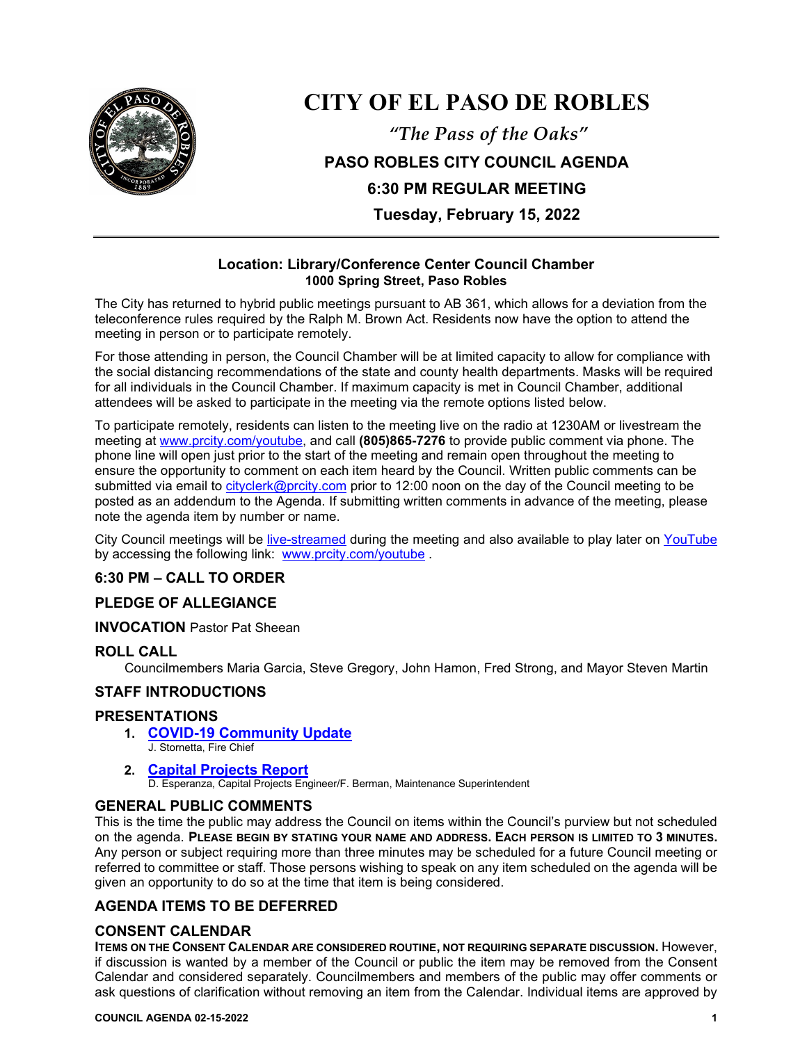

# **CITY OF EL PASO DE ROBLES**

*"The Pass of the Oaks"* **PASO ROBLES CITY COUNCIL AGENDA 6:30 PM REGULAR MEETING Tuesday, February 15, 2022**

## **Location: Library/Conference Center Council Chamber 1000 Spring Street, Paso Robles**

The City has returned to hybrid public meetings pursuant to AB 361, which allows for a deviation from the teleconference rules required by the Ralph M. Brown Act. Residents now have the option to attend the meeting in person or to participate remotely.

For those attending in person, the Council Chamber will be at limited capacity to allow for compliance with the social distancing recommendations of the state and county health departments. Masks will be required for all individuals in the Council Chamber. If maximum capacity is met in Council Chamber, additional attendees will be asked to participate in the meeting via the remote options listed below.

To participate remotely, residents can listen to the meeting live on the radio at 1230AM or livestream the meeting at [www.prcity.com/youtube,](http://www.prcity.com/youtube) and call **(805)865-7276** to provide public comment via phone. The phone line will open just prior to the start of the meeting and remain open throughout the meeting to ensure the opportunity to comment on each item heard by the Council. Written public comments can be submitted via email to [cityclerk@prcity.com](mailto:cityclerk@prcity.com) prior to 12:00 noon on the day of the Council meeting to be posted as an addendum to the Agenda. If submitting written comments in advance of the meeting, please note the agenda item by number or name.

City Council meetings will be [live-streamed](https://www.youtube.com/channel/UCxElWtI1YhkPr6KI552RDuw) during the meeting and also available to play later on [YouTube](https://www.youtube.com/channel/UCxElWtI1YhkPr6KI552RDuw) by accessing the following link: [www.prcity.com/youtube](http://www.prcity.com/youtube) .

# **6:30 PM – CALL TO ORDER**

## **PLEDGE OF ALLEGIANCE**

**INVOCATION** Pastor Pat Sheean

## **ROLL CALL**

Councilmembers Maria Garcia, Steve Gregory, John Hamon, Fred Strong, and Mayor Steven Martin

# **STAFF INTRODUCTIONS**

## **PRESENTATIONS**

**1. [COVID-19 Community Update](https://www.prcity.com/DocumentCenter/View/33189/February-15-2022-City-Council-Agenda-Item-01-PDF)**  J. Stornetta, Fire Chief

## **2. [Capital Projects Report](https://www.prcity.com/DocumentCenter/View/33190/February-15-2022-City-Council-Agenda-Item-02-PDF)**

D. Esperanza, Capital Projects Engineer/F. Berman, Maintenance Superintendent

## **GENERAL PUBLIC COMMENTS**

This is the time the public may address the Council on items within the Council's purview but not scheduled on the agenda. **PLEASE BEGIN BY STATING YOUR NAME AND ADDRESS. EACH PERSON IS LIMITED TO 3 MINUTES.** Any person or subject requiring more than three minutes may be scheduled for a future Council meeting or referred to committee or staff. Those persons wishing to speak on any item scheduled on the agenda will be given an opportunity to do so at the time that item is being considered.

# **AGENDA ITEMS TO BE DEFERRED**

## **CONSENT CALENDAR**

**ITEMS ON THE CONSENT CALENDAR ARE CONSIDERED ROUTINE, NOT REQUIRING SEPARATE DISCUSSION.** However, if discussion is wanted by a member of the Council or public the item may be removed from the Consent Calendar and considered separately. Councilmembers and members of the public may offer comments or ask questions of clarification without removing an item from the Calendar. Individual items are approved by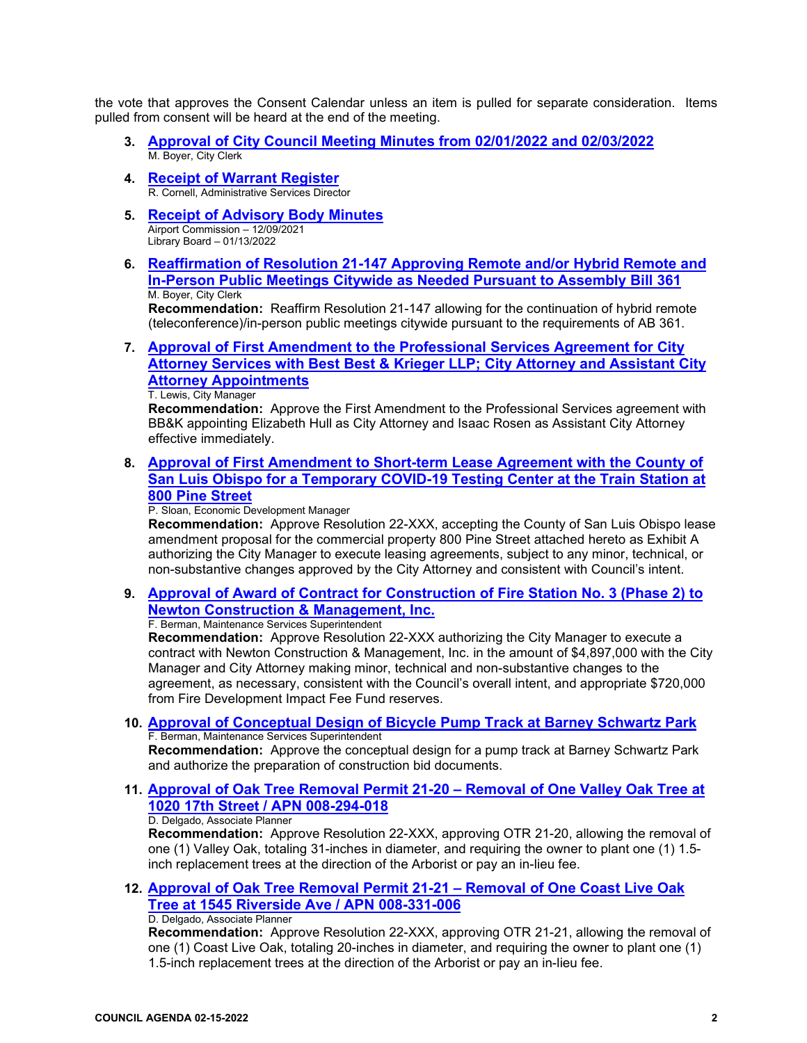the vote that approves the Consent Calendar unless an item is pulled for separate consideration. Items pulled from consent will be heard at the end of the meeting.

- **3. [Approval of City Council Meeting Minutes from 02/01/2022](https://www.prcity.com/DocumentCenter/View/33191/February-15-2022-City-Council-Agenda-Item-03-PDF) and 02/03/2022** M. Boyer, City Clerk
- **4. Receipt [of Warrant Register](https://www.prcity.com/DocumentCenter/View/33192/February-15-2022-City-Council-Agenda-Item-04-PDF)**R. Cornell, Administrative Services Director
- **5. [Receipt of Advisory Body Minutes](https://www.prcity.com/DocumentCenter/View/33193/February-15-2022-City-Council-Agenda-Item-05-PDF)** Airport Commission – 12/09/2021 Library Board – 01/13/2022
- **6. [Reaffirmation of Resolution 21-147 Approving Remote and/or Hybrid Remote and](https://www.prcity.com/DocumentCenter/View/33194/February-15-2022-City-Council-Agenda-Item-06-PDF)  [In-Person Public Meetings Citywide as Needed Pursuant to Assembly Bill 361](https://www.prcity.com/DocumentCenter/View/33194/February-15-2022-City-Council-Agenda-Item-06-PDF)** M. Boyer, City Clerk **Recommendation:** Reaffirm Resolution 21-147 allowing for the continuation of hybrid remote

(teleconference)/in-person public meetings citywide pursuant to the requirements of AB 361.

**7. [Approval of First Amendment to the Professional Services Agreement for City](https://www.prcity.com/DocumentCenter/View/33195/February-15-2022-City-Council-Agenda-Item-07-PDF)  [Attorney Services with Best Best & Krieger LLP; City Attorney and Assistant City](https://www.prcity.com/DocumentCenter/View/33195/February-15-2022-City-Council-Agenda-Item-07-PDF)  [Attorney Appointments](https://www.prcity.com/DocumentCenter/View/33195/February-15-2022-City-Council-Agenda-Item-07-PDF)**

T. Lewis, City Manager

**Recommendation:** Approve the First Amendment to the Professional Services agreement with BB&K appointing Elizabeth Hull as City Attorney and Isaac Rosen as Assistant City Attorney effective immediately.

**8. [Approval of First Amendment to Short-term Lease Agreement with the County of](https://www.prcity.com/DocumentCenter/View/33196/February-15-2022-City-Council-Agenda-Item-08-PDF)  [San Luis Obispo for a Temporary COVID-19 Testing Center at the Train Station at](https://www.prcity.com/DocumentCenter/View/33196/February-15-2022-City-Council-Agenda-Item-08-PDF)  [800 Pine Street](https://www.prcity.com/DocumentCenter/View/33196/February-15-2022-City-Council-Agenda-Item-08-PDF)**

P. Sloan, Economic Development Manager

**Recommendation:** Approve Resolution 22-XXX, accepting the County of San Luis Obispo lease amendment proposal for the commercial property 800 Pine Street attached hereto as Exhibit A authorizing the City Manager to execute leasing agreements, subject to any minor, technical, or non-substantive changes approved by the City Attorney and consistent with Council's intent.

**9. [Approval of Award of Contract for Construction of Fire Station No. 3 \(Phase 2\) to](https://www.prcity.com/DocumentCenter/View/33197/February-15-2022-City-Council-Agenda-Item-09-PDF)  [Newton Construction & Management, Inc.](https://www.prcity.com/DocumentCenter/View/33197/February-15-2022-City-Council-Agenda-Item-09-PDF)** F. Berman, Maintenance Services Superintendent

**Recommendation:** Approve Resolution 22-XXX authorizing the City Manager to execute a contract with Newton Construction & Management, Inc. in the amount of \$4,897,000 with the City Manager and City Attorney making minor, technical and non-substantive changes to the agreement, as necessary, consistent with the Council's overall intent, and appropriate \$720,000 from Fire Development Impact Fee Fund reserves.

**10. [Approval of Conceptual Design of Bicycle Pump Track at Barney Schwartz Park](https://www.prcity.com/DocumentCenter/View/33198/February-15-2022-City-Council-Agenda-Item-10-PDF)** F. Berman, Maintenance Services Superintendent

**Recommendation:** Approve the conceptual design for a pump track at Barney Schwartz Park and authorize the preparation of construction bid documents.

**11. [Approval of Oak Tree Removal Permit 21-20 –](https://www.prcity.com/DocumentCenter/View/33199/February-15-2022-City-Council-Agenda-Item-11-PDF) Removal of One Valley Oak Tree at [1020 17th Street / APN 008-294-018](https://www.prcity.com/DocumentCenter/View/33199/February-15-2022-City-Council-Agenda-Item-11-PDF)** D. Delgado, Associate Planner

**Recommendation:** Approve Resolution 22-XXX, approving OTR 21-20, allowing the removal of one (1) Valley Oak, totaling 31-inches in diameter, and requiring the owner to plant one (1) 1.5 inch replacement trees at the direction of the Arborist or pay an in-lieu fee.

**12. [Approval of Oak Tree Removal Permit 21-21 –](https://www.prcity.com/DocumentCenter/View/33200/February-15-2022-City-Council-Agenda-Item-12-PDF) Removal of One Coast Live Oak [Tree at 1545 Riverside Ave / APN 008-331-006](https://www.prcity.com/DocumentCenter/View/33200/February-15-2022-City-Council-Agenda-Item-12-PDF)** D. Delgado, Associate Planner

**Recommendation:** Approve Resolution 22-XXX, approving OTR 21-21, allowing the removal of one (1) Coast Live Oak, totaling 20-inches in diameter, and requiring the owner to plant one (1) 1.5-inch replacement trees at the direction of the Arborist or pay an in-lieu fee.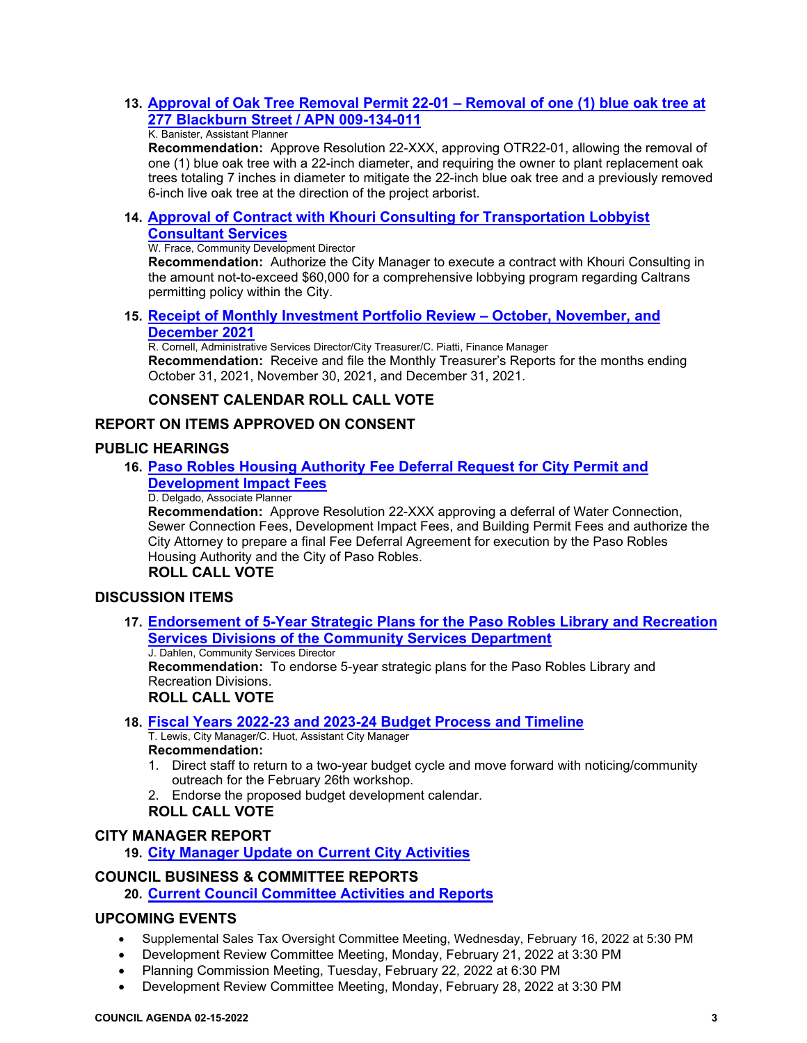# **13. [Approval of Oak Tree Removal Permit 22-01 –](https://www.prcity.com/DocumentCenter/View/33201/February-15-2022-City-Council-Agenda-Item-13-PDF) Removal of one (1) blue oak tree at [277 Blackburn Street / APN 009-134-011](https://www.prcity.com/DocumentCenter/View/33201/February-15-2022-City-Council-Agenda-Item-13-PDF)**

#### K. Banister, Assistant Planner

**Recommendation:** Approve Resolution 22-XXX, approving OTR22-01, allowing the removal of one (1) blue oak tree with a 22-inch diameter, and requiring the owner to plant replacement oak trees totaling 7 inches in diameter to mitigate the 22-inch blue oak tree and a previously removed 6-inch live oak tree at the direction of the project arborist.

## **14. [Approval of Contract with Khouri Consulting for Transportation Lobbyist](https://www.prcity.com/DocumentCenter/View/33202/February-15-2022-City-Council-Agenda-Item-14-PDF)  [Consultant Services](https://www.prcity.com/DocumentCenter/View/33202/February-15-2022-City-Council-Agenda-Item-14-PDF)**

#### W. Frace, Community Development Director

**Recommendation:** Authorize the City Manager to execute a contract with Khouri Consulting in the amount not-to-exceed \$60,000 for a comprehensive lobbying program regarding Caltrans permitting policy within the City.

#### **15. [Receipt of Monthly Investment Portfolio Review –](https://www.prcity.com/DocumentCenter/View/33183/February-15-2022-City-Council-Agenda-Item-15-PDF) October, November, and [December 2021](https://www.prcity.com/DocumentCenter/View/33183/February-15-2022-City-Council-Agenda-Item-15-PDF)**

R. Cornell, Administrative Services Director/City Treasurer/C. Piatti, Finance Manager **Recommendation:** Receive and file the Monthly Treasurer's Reports for the months ending October 31, 2021, November 30, 2021, and December 31, 2021.

## **CONSENT CALENDAR ROLL CALL VOTE**

# **REPORT ON ITEMS APPROVED ON CONSENT**

## **PUBLIC HEARINGS**

## **16. [Paso Robles Housing Authority Fee Deferral Request for City Permit and](https://www.prcity.com/DocumentCenter/View/33184/February-15-2022-City-Council-Agenda-Item-16-PDF)  [Development Impact Fees](https://www.prcity.com/DocumentCenter/View/33184/February-15-2022-City-Council-Agenda-Item-16-PDF)**

#### D. Delgado, Associate Planner

**Recommendation:** Approve Resolution 22-XXX approving a deferral of Water Connection, Sewer Connection Fees, Development Impact Fees, and Building Permit Fees and authorize the City Attorney to prepare a final Fee Deferral Agreement for execution by the Paso Robles Housing Authority and the City of Paso Robles.

# **ROLL CALL VOTE**

## **DISCUSSION ITEMS**

**17. [Endorsement of 5-Year Strategic Plans for the Paso Robles Library and Recreation](https://www.prcity.com/DocumentCenter/View/33185/February-15-2022-City-Council-Agenda-Item-17-PDF)  [Services Divisions of the Community Services Department](https://www.prcity.com/DocumentCenter/View/33185/February-15-2022-City-Council-Agenda-Item-17-PDF)**

J. Dahlen, Community Services Director **Recommendation:** To endorse 5-year strategic plans for the Paso Robles Library and Recreation Divisions. **ROLL CALL VOTE**

## **18. [Fiscal Years 2022-23 and 2023-24 Budget Process and Timeline](https://www.prcity.com/DocumentCenter/View/33186/February-15-2022-City-Council-Agenda-Item-18-PDF)**

T. Lewis, City Manager/C. Huot, Assistant City Manager **Recommendation:** 

- 1. Direct staff to return to a two-year budget cycle and move forward with noticing/community outreach for the February 26th workshop.
- 2. Endorse the proposed budget development calendar.

## **ROLL CALL VOTE**

## **CITY MANAGER REPORT**

**19. [City Manager Update on](https://www.prcity.com/DocumentCenter/View/33187/February-15-2022-City-Council-Agenda-Item-19-PDF) Current City Activities**

## **COUNCIL BUSINESS & COMMITTEE REPORTS**

**20. [Current Council Committee Activities and Reports](https://www.prcity.com/DocumentCenter/View/33188/February-15-2022-City-Council-Agenda-Item-20-PDF)**

## **UPCOMING EVENTS**

- Supplemental Sales Tax Oversight Committee Meeting, Wednesday, February 16, 2022 at 5:30 PM
- Development Review Committee Meeting, Monday, February 21, 2022 at 3:30 PM
- Planning Commission Meeting, Tuesday, February 22, 2022 at 6:30 PM
- Development Review Committee Meeting, Monday, February 28, 2022 at 3:30 PM